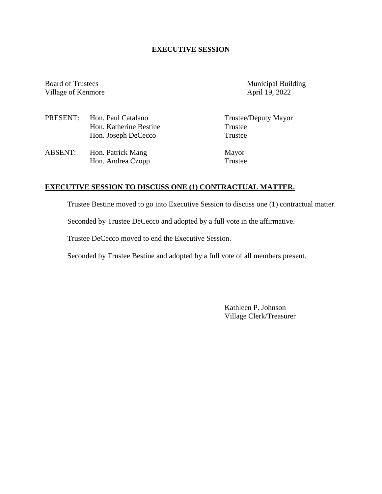## **EXECUTIVE SESSION**

Village of Kenmore

Board of Trustees Municipal Building<br>
Village of Kenmore April 19, 2022

|                | PRESENT: Hon. Paul Catalano | Trustee/Deputy Mayor |
|----------------|-----------------------------|----------------------|
|                | Hon. Katherine Bestine      | Trustee              |
|                | Hon. Joseph DeCecco         | Trustee              |
| <b>ABSENT:</b> | Hon. Patrick Mang           | Mayor                |
|                | Hon. Andrea Czopp           | Trustee              |

# **EXECUTIVE SESSION TO DISCUSS ONE (1) CONTRACTUAL MATTER.**

Trustee Bestine moved to go into Executive Session to discuss one (1) contractual matter.

Seconded by Trustee DeCecco and adopted by a full vote in the affirmative.

Trustee DeCecco moved to end the Executive Session.

Seconded by Trustee Bestine and adopted by a full vote of all members present.

Kathleen P. Johnson Village Clerk/Treasurer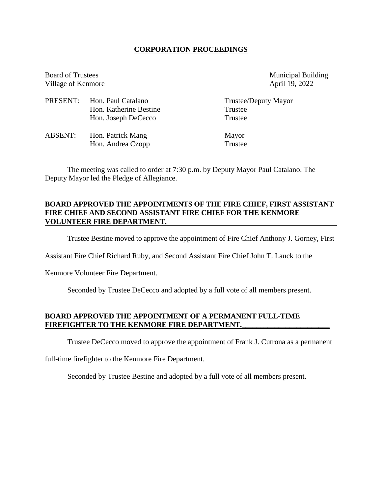## **CORPORATION PROCEEDINGS**

Board of Trustees Municipal Building Village of Kenmore April 19, 2022

|         | PRESENT: Hon. Paul Catalano | Trustee/Deputy Mayor |
|---------|-----------------------------|----------------------|
|         | Hon. Katherine Bestine      | Trustee              |
|         | Hon. Joseph DeCecco         | Trustee              |
| ABSENT: | Hon. Patrick Mang           | Mayor                |
|         | Hon. Andrea Czopp           | Trustee              |

The meeting was called to order at 7:30 p.m. by Deputy Mayor Paul Catalano. The Deputy Mayor led the Pledge of Allegiance.

## **BOARD APPROVED THE APPOINTMENTS OF THE FIRE CHIEF, FIRST ASSISTANT FIRE CHIEF AND SECOND ASSISTANT FIRE CHIEF FOR THE KENMORE VOLUNTEER FIRE DEPARTMENT.**

Trustee Bestine moved to approve the appointment of Fire Chief Anthony J. Gorney, First

Assistant Fire Chief Richard Ruby, and Second Assistant Fire Chief John T. Lauck to the

Kenmore Volunteer Fire Department.

Seconded by Trustee DeCecco and adopted by a full vote of all members present.

## **BOARD APPROVED THE APPOINTMENT OF A PERMANENT FULL-TIME** FIREFIGHTER TO THE KENMORE FIRE DEPARTMENT.

Trustee DeCecco moved to approve the appointment of Frank J. Cutrona as a permanent

full-time firefighter to the Kenmore Fire Department.

Seconded by Trustee Bestine and adopted by a full vote of all members present.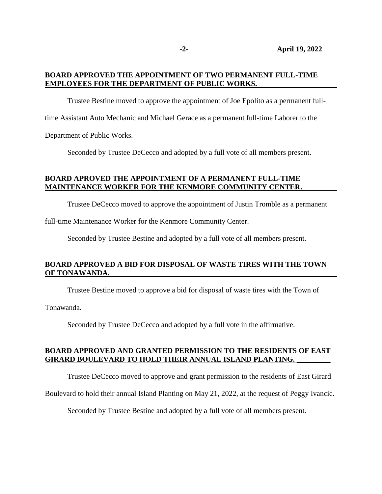## **BOARD APPROVED THE APPOINTMENT OF TWO PERMANENT FULL-TIME EMPLOYEES FOR THE DEPARTMENT OF PUBLIC WORKS.**

Trustee Bestine moved to approve the appointment of Joe Epolito as a permanent full-

time Assistant Auto Mechanic and Michael Gerace as a permanent full-time Laborer to the

Department of Public Works.

Seconded by Trustee DeCecco and adopted by a full vote of all members present.

## **BOARD APROVED THE APPOINTMENT OF A PERMANENT FULL-TIME MAINTENANCE WORKER FOR THE KENMORE COMMUNITY CENTER.**

Trustee DeCecco moved to approve the appointment of Justin Tromble as a permanent

full-time Maintenance Worker for the Kenmore Community Center.

Seconded by Trustee Bestine and adopted by a full vote of all members present.

## **BOARD APPROVED A BID FOR DISPOSAL OF WASTE TIRES WITH THE TOWN OF TONAWANDA.**

Trustee Bestine moved to approve a bid for disposal of waste tires with the Town of

Tonawanda.

Seconded by Trustee DeCecco and adopted by a full vote in the affirmative.

## **BOARD APPROVED AND GRANTED PERMISSION TO THE RESIDENTS OF EAST GIRARD BOULEVARD TO HOLD THEIR ANNUAL ISLAND PLANTING. \_\_\_\_\_\_\_\_\_**

Trustee DeCecco moved to approve and grant permission to the residents of East Girard

Boulevard to hold their annual Island Planting on May 21, 2022, at the request of Peggy Ivancic.

Seconded by Trustee Bestine and adopted by a full vote of all members present.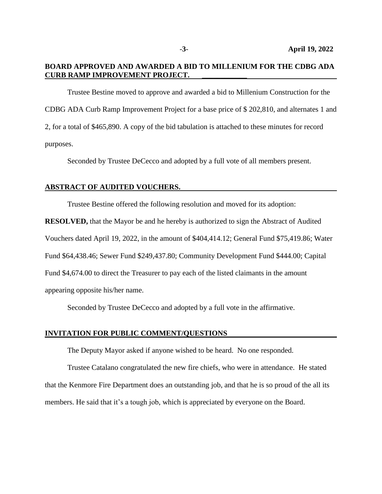## **BOARD APPROVED AND AWARDED A BID TO MILLENIUM FOR THE CDBG ADA CURB RAMP IMPROVEMENT PROJECT. \_\_\_\_\_\_\_\_\_\_\_\_**

Trustee Bestine moved to approve and awarded a bid to Millenium Construction for the CDBG ADA Curb Ramp Improvement Project for a base price of \$ 202,810, and alternates 1 and 2, for a total of \$465,890. A copy of the bid tabulation is attached to these minutes for record purposes.

Seconded by Trustee DeCecco and adopted by a full vote of all members present.

#### **ABSTRACT OF AUDITED VOUCHERS.**

Trustee Bestine offered the following resolution and moved for its adoption:

**RESOLVED,** that the Mayor be and he hereby is authorized to sign the Abstract of Audited Vouchers dated April 19, 2022, in the amount of \$404,414.12; General Fund \$75,419.86; Water Fund \$64,438.46; Sewer Fund \$249,437.80; Community Development Fund \$444.00; Capital Fund \$4,674.00 to direct the Treasurer to pay each of the listed claimants in the amount appearing opposite his/her name.

Seconded by Trustee DeCecco and adopted by a full vote in the affirmative.

#### **INVITATION FOR PUBLIC COMMENT/QUESTIONS**

The Deputy Mayor asked if anyone wished to be heard. No one responded.

Trustee Catalano congratulated the new fire chiefs, who were in attendance. He stated that the Kenmore Fire Department does an outstanding job, and that he is so proud of the all its members. He said that it's a tough job, which is appreciated by everyone on the Board.